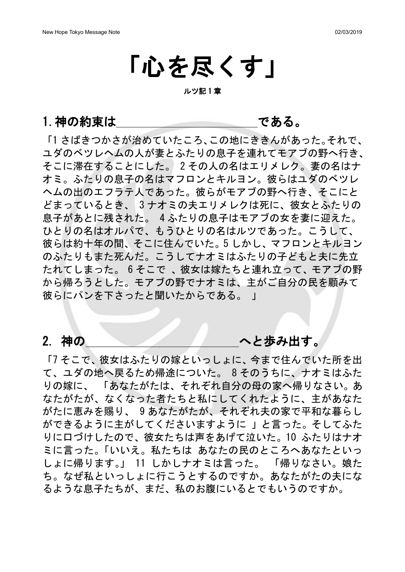# 「心を尽くす」

ルツ記 1 章

1.神の約束は である。

「1 さばきつかさが治めていたころ、この地にききんがあった。それで、 ユダのベツレヘムの人が妻とふたりの息子を連れてモアブの野へ行き、 そこに滞在することにした。 2 その人の名はエリメレク。妻の名はナ オミ。ふたりの息子の名はマフロンとキルヨン。彼らはユダのベツレ ヘムの出のエフラテ人であった。彼らがモアブの野へ行き、そこにと どまっているとき、 3 ナオミの夫エリメレクは死に、彼女とふたりの 息子があとに残された。 4 ふたりの息子はモアブの女を妻に迎えた。 ひとりの名はオルパで、もうひとりの名はルツであった。こうして、 彼らは約十年の間、そこに住んでいた。5 しかし、マフロンとキルヨン のふたりもまた死んだ。こうしてナオミはふたりの子どもと夫に先立 たれてしまった。 6 そこで 、彼女は嫁たちと連れ立って、モアブの野 から帰ろうとした。モアブの野でナオミは、主がご自分の民を顧みて 彼らにパンを下さったと聞いたからである。 」

2. 神の インダン へと歩み出す。

「7 そこで、彼女はふたりの嫁といっしょに、今まで住んでいた所を出 て、ユダの地へ戻るため帰途についた。 8 そのうちに、ナオミはふた りの嫁に、 「あなたがたは、それぞれ自分の母の家へ帰りなさい。あ なたがたが、なくなった者たちと私にしてくれたように、主があなた がたに恵みを賜り、 9 あなたがたが、それぞれ夫の家で平和な暮らし ができるように主がしてくださいますように 」と言った。そしてふた りに口づけしたので、彼女たちは声をあげて泣いた。10 ふたりはナオ ミに言った。「いいえ。私たちは あなたの民のところへあなたといっ しょに帰ります。」 11 しかしナオミは言った。 「帰りなさい。娘た ち。なぜ私といっしょに行こうとするのですか。あなたがたの夫にな るような息子たちが、まだ、私のお腹にいるとでもいうのですか。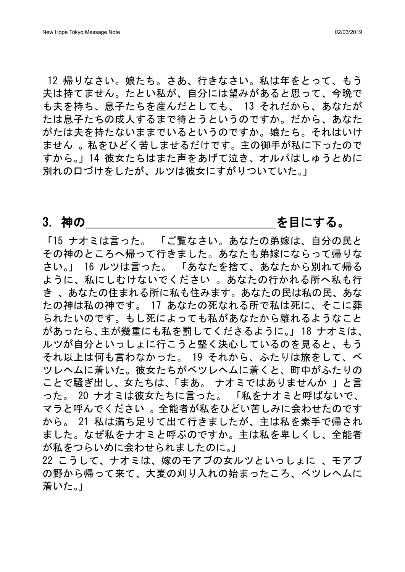12 帰りなさい。娘たち。さあ、行きなさい。私は年をとって、もう 夫は持てません。たとい私が、自分には望みがあると思って、今晩で も夫を持ち、息子たちを産んだとしても、 13 それだから、あなたが たは息子たちの成人するまで待とうというのですか。だから、あなた がたは夫を持たないままでいるというのですか。娘たち。それはいけ ません 。私をひどく苦しませるだけです。主の御手が私に下ったので すから。」14 彼女たちはまた声をあげて泣き、オルパはしゅうとめに 別れの口づけをしたが、ルツは彼女にすがりついていた。」

## 3. 神の そんちゃん しゅうしゃ こうしょう を目にする。

「15 ナオミは言った。 「ご覧なさい。あなたの弟嫁は、自分の民と その神のところへ帰って行きました。あなたも弟嫁にならって帰りな さい。」 16 ルツは言った。 「あなたを捨て、あなたから別れて帰る ように、私にしむけないでください 。あなたの行かれる所へ私も行 き 、あなたの住まれる所に私も住みます。あなたの民は私の民、あな たの神は私の神です。 17 あなたの死なれる所で私は死に、そこに葬 られたいのです。もし死によっても私があなたから離れるようなこと があったら、主が幾重にも私を罰してくださるように。」 18 ナオミは、 ルツが自分といっしょに行こうと堅く決心しているのを見ると、もう それ以上は何も言わなかった。 19 それから、ふたりは旅をして、ベ ツレヘムに着いた。彼女たちがベツレヘムに着くと、町中がふたりの ことで騒ぎ出し、女たちは、「まあ。 ナオミではありませんか 」と言 った。 20 ナオミは彼女たちに言った。 「私をナオミと呼ばないで、 マラと呼んでください 。全能者が私をひどい苦しみに会わせたのです から。 21 私は満ち足りて出て行きましたが、主は私を素手で帰され ました。なぜ私をナオミと呼ぶのですか。主は私を卑しくし、全能者 が私をつらいめに会わせられましたのに。」

22 こうして、ナオミは、嫁のモアブの女ルツといっしょに 、モアブ の野から帰って来て、大麦の刈り入れの始まったころ、ベツレヘムに 着いた。」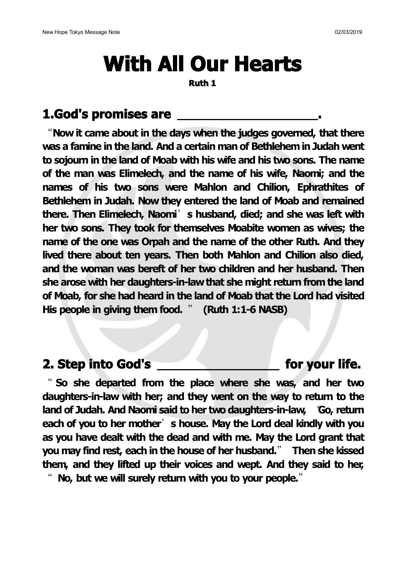# **With All Our Hearts**

**Ruth 1**

# **1.God's promises are .**

"**Now it came about in the days when the judges governed, that there was a famine in the land. And a certain man of Bethlehemin Judah went to sojourn in the land of Moab with his wife and his two sons. The name of the man was Elimelech, and the name of his wife,Naomi; and the names of his two sons were Mahlon and Chilion, Ephrathites of Bethlehem in Judah. Now they entered the land of Moab and remained there. Then Elimelech, Naomi**'**s husband, died; and she was left with her two sons. They took for themselves Moabite women as wives; the name of the one was Orpah and the name ofthe other Ruth.And they lived there about ten years. Then both Mahlon and Chilion also died, and the woman was bereft of her two children and her husband. Then she arose with her daughters-in-lawthat she might return from the land of Moab, for she had heard in the land of Moab that the Lord had visited His people in giving them food.** " **(Ruth 1:1-6 NASB)**

## **2. Step into God's for your life.**

" **So she departed from the place where she was, and her two daughters-in-law with her; and they went on the way to return to the land of Judah. And Naomi said to her two daughters-in-law,** "**Go, return each of you to her mother**'**s house. May the Lord deal kindly with you as you have dealt with the dead and with me. May the Lord grant that you may find rest, each in the house ofher husband.**" **Then she kissed them, and they lifted up their voices and wept. And they said to her,** " **No, but we will surely return with you to your people.**"